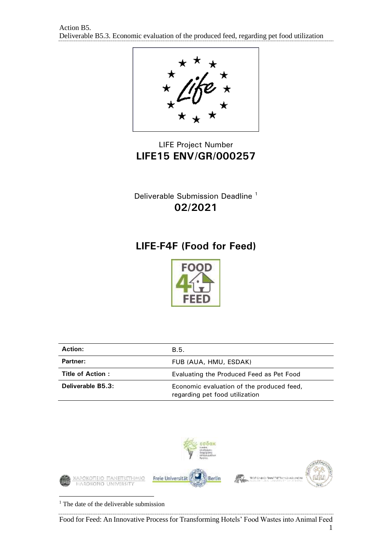

## LIFE Project Number **LIFE15 ENV/GR/000257**

Deliverable Submission Deadline <sup>1</sup> **02/2021**

# **LIFE-F4F (Food for Feed)**



| <b>Action:</b>    | B.5.                                                                        |
|-------------------|-----------------------------------------------------------------------------|
| Partner:          | FUB (AUA, HMU, ESDAK)                                                       |
| Title of Action:  | Evaluating the Produced Feed as Pet Food                                    |
| Deliverable B5.3: | Economic evaluation of the produced feed,<br>regarding pet food utilization |



<sup>1</sup> The date of the deliverable submission

Food for Feed: An Innovative Process for Transforming Hotels' Food Wastes into Animal Feed 1